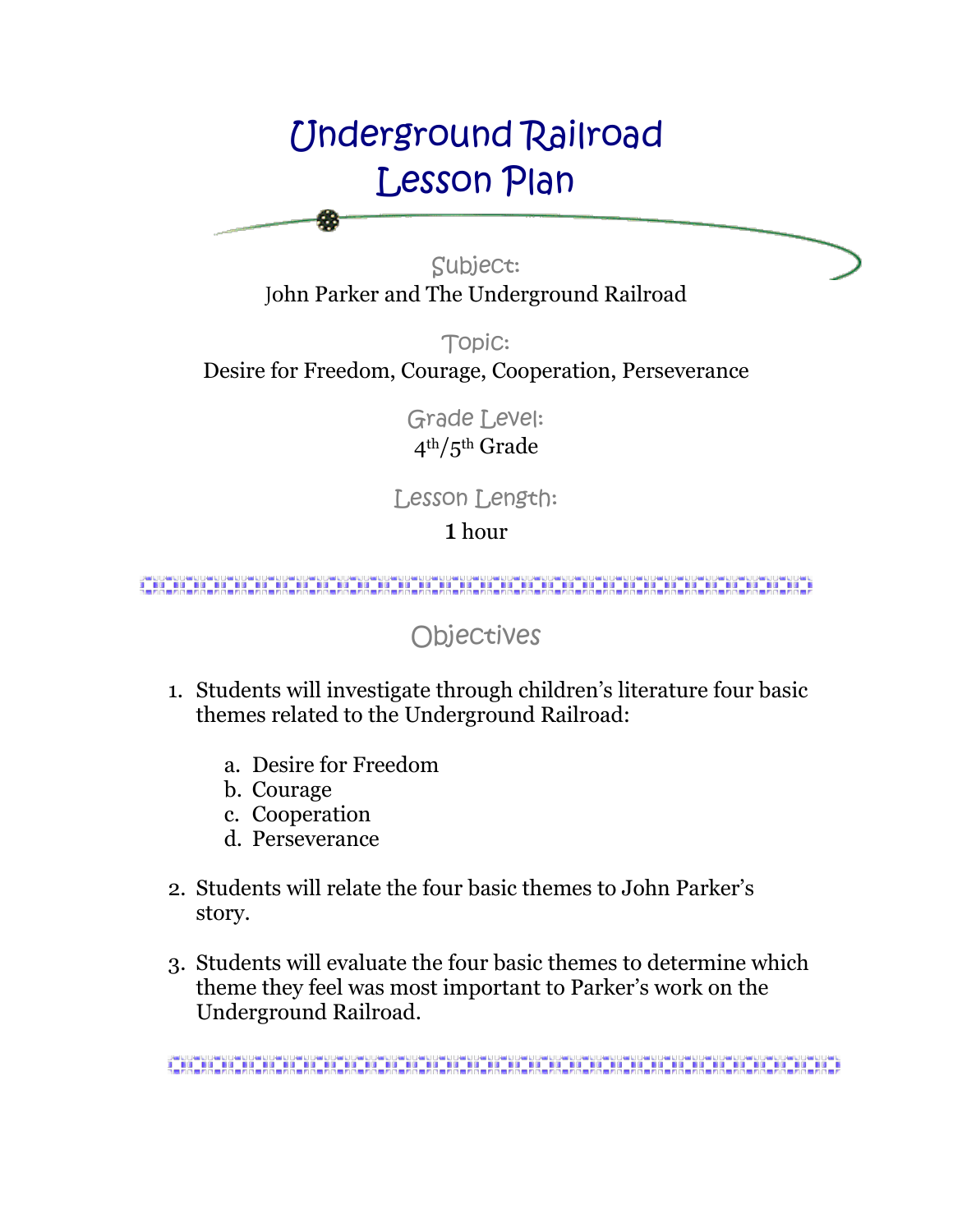# Underground Railroad Lesson Plan

Subject: John Parker and The Underground Railroad

Topic: Desire for Freedom, Courage, Cooperation, Perseverance

> Grade Level: 4th/5th Grade

Lesson Length:

1 hour

<u> 1999 - 1999 - 1999 - 1999 - 1999 - 1999 - 1999 - 1999 - 1999 - 1999 - 1999 - 1999 - 1999 - 1999 - 1999 - 19</u>

Objectives

- 1. Students will investigate through children's literature four basic themes related to the Underground Railroad:
	- a. Desire for Freedom
	- b. Courage
	- c. Cooperation
	- d. Perseverance
- 2. Students will relate the four basic themes to John Parker's story.
- 3. Students will evaluate the four basic themes to determine which theme they feel was most important to Parker's work on the Underground Railroad.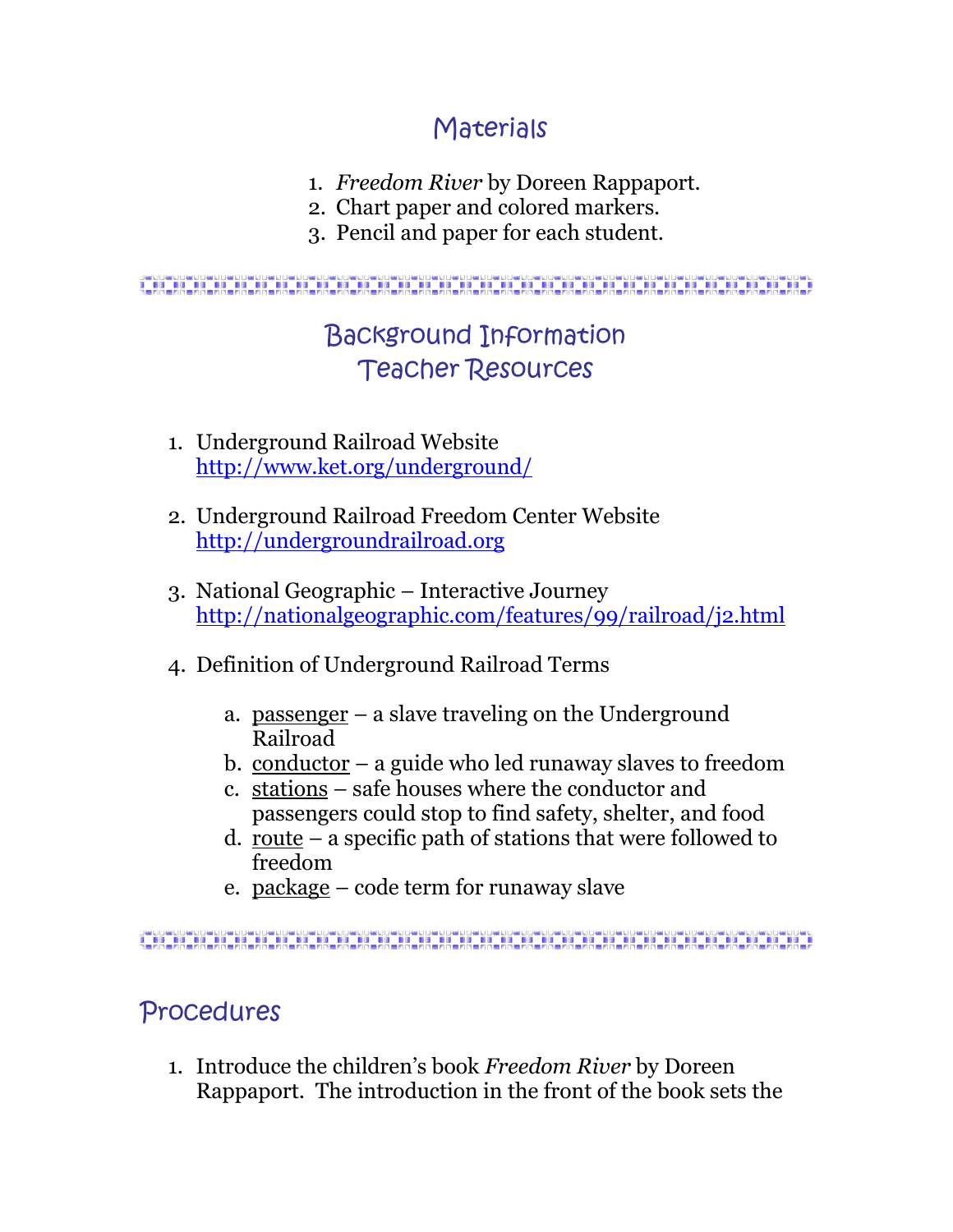## Materials

- 1. *Freedom River* by Doreen Rappaport.
- 2. Chart paper and colored markers.
- 3. Pencil and paper for each student.

#### 

## Background Information Teacher Resources

- 1. Underground Railroad Website <http://www.ket.org/underground/>
- 2. Underground Railroad Freedom Center Website [http://undergroundrailroad.org](http://undergroundrailroad.org/)
- 3. National Geographic Interactive Journey <http://nationalgeographic.com/features/99/railroad/j2.html>
- 4. Definition of Underground Railroad Terms
	- a. passenger a slave traveling on the Underground Railroad
	- b. conductor a guide who led runaway slaves to freedom
	- c. stations safe houses where the conductor and passengers could stop to find safety, shelter, and food
	- d. route a specific path of stations that were followed to freedom
	- e. package code term for runaway slave

## Procedures

1. Introduce the children's book *Freedom River* by Doreen Rappaport. The introduction in the front of the book sets the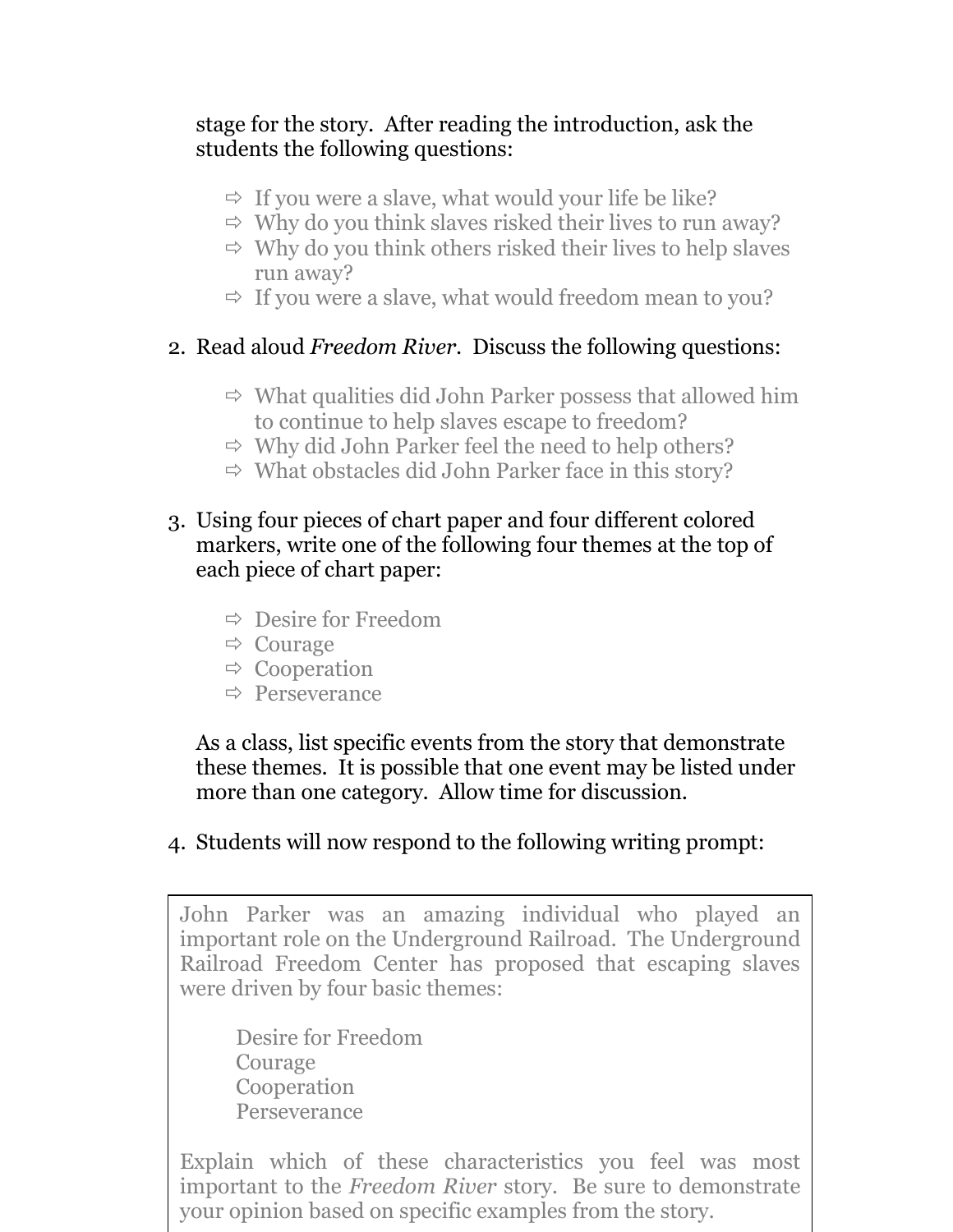#### stage for the story. After reading the introduction, ask the students the following questions:

- $\Rightarrow$  If you were a slave, what would your life be like?
- $\Rightarrow$  Why do you think slaves risked their lives to run away?
- $\Rightarrow$  Why do you think others risked their lives to help slaves run away?
- $\Rightarrow$  If you were a slave, what would freedom mean to you?

#### 2. Read aloud *Freedom River*. Discuss the following questions:

- $\Rightarrow$  What qualities did John Parker possess that allowed him to continue to help slaves escape to freedom?
- $\Rightarrow$  Why did John Parker feel the need to help others?
- $\Rightarrow$  What obstacles did John Parker face in this story?
- 3. Using four pieces of chart paper and four different colored markers, write one of the following four themes at the top of each piece of chart paper:
	- $\Rightarrow$  Desire for Freedom
	- $\Rightarrow$  Courage
	- $\Rightarrow$  Cooperation
	- $\Rightarrow$  Perseverance

As a class, list specific events from the story that demonstrate these themes. It is possible that one event may be listed under more than one category. Allow time for discussion.

### 4. Students will now respond to the following writing prompt:

John Parker was an amazing individual who played an important role on the Underground Railroad. The Underground Railroad Freedom Center has proposed that escaping slaves were driven by four basic themes:

Desire for Freedom Courage Cooperation Perseverance

Explain which of these characteristics you feel was most important to the *Freedom River* story. Be sure to demonstrate your opinion based on specific examples from the story.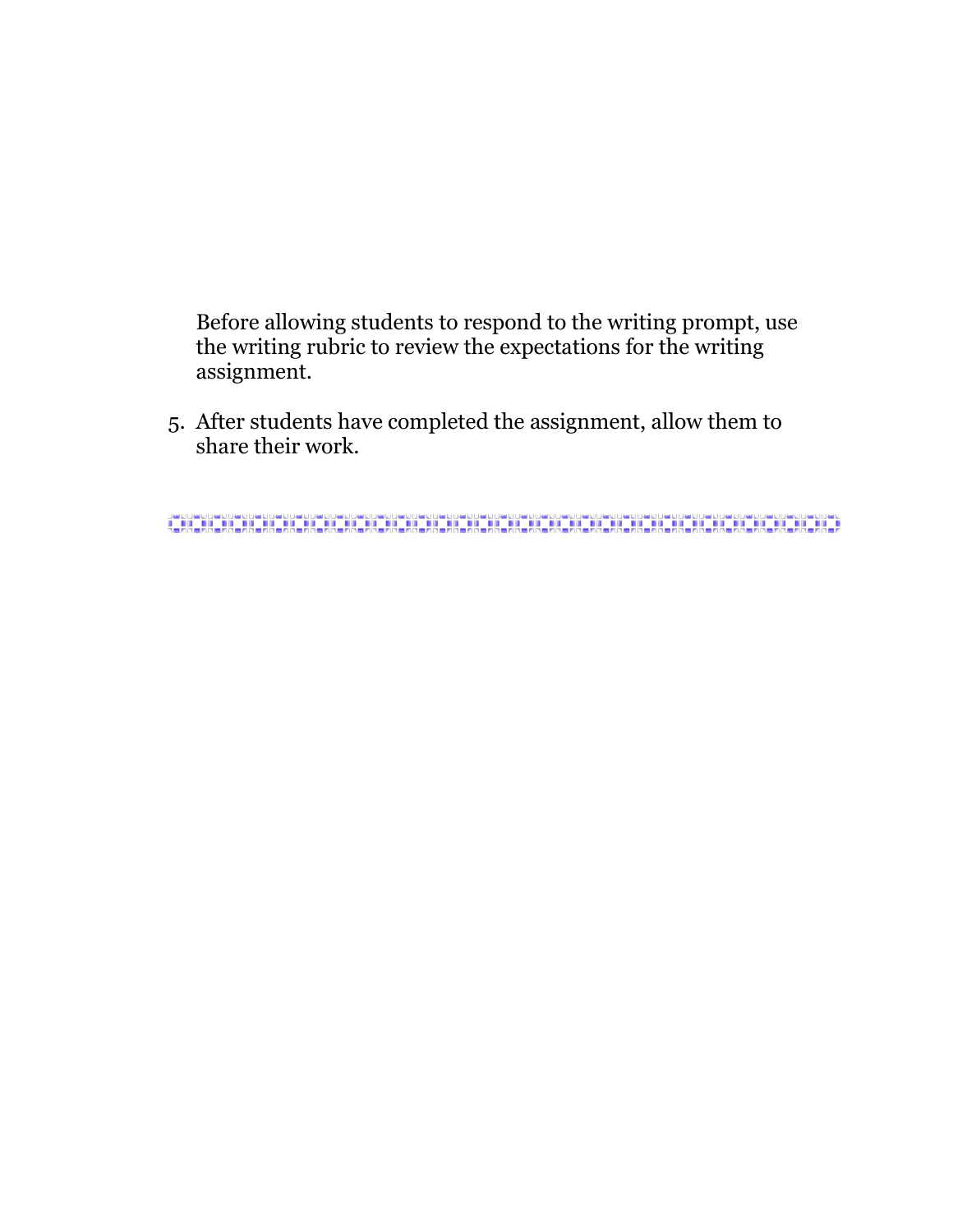Before allowing students to respond to the writing prompt, use the writing rubric to review the expectations for the writing assignment.

5. After students have completed the assignment, allow them to share their work.